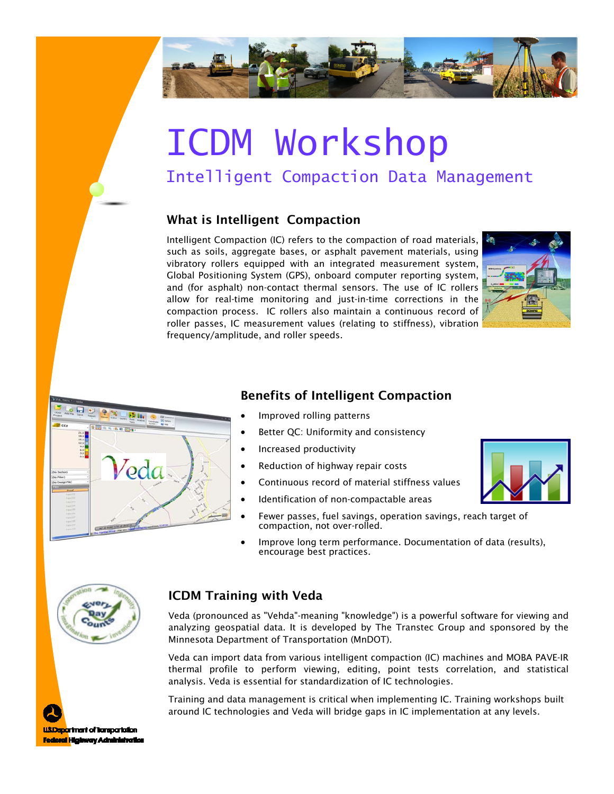

# ICDM Workshop

## Intelligent Compaction Data Management

#### What is Intelligent Compaction

Intelligent Compaction (IC) refers to the compaction of road materials, such as soils, aggregate bases, or asphalt pavement materials, using vibratory rollers equipped with an integrated measurement system, Global Positioning System (GPS), onboard computer reporting system, and (for asphalt) non-contact thermal sensors. The use of IC rollers allow for real-time monitoring and just-in-time corrections in the compaction process. IC rollers also maintain a continuous record of roller passes, IC measurement values (relating to stiffness), vibration frequency/amplitude, and roller speeds.





#### Benefits of Intelligent Compaction

- Improved rolling patterns
- **Better QC: Uniformity and consistency**
- Increased productivity
- Reduction of highway repair costs
- Continuous record of material stiffness values
- Identification of non-compactable areas
- Fewer passes, fuel savings, operation savings, reach target of compaction, not over-rolled.
- Improve long term performance. Documentation of data (results), encourage best practices.



#### ICDM Training with Veda

Veda (pronounced as "Vehda"-meaning "knowledge") is a powerful software for viewing and analyzing geospatial data. It is developed by The Transtec Group and sponsored by the Minnesota Department of Transportation (MnDOT).

Veda can import data from various intelligent compaction (IC) machines and MOBA PAVE-IR thermal profile to perform viewing, editing, point tests correlation, and statistical analysis. Veda is essential for standardization of IC technologies.

Training and data management is critical when implementing IC. Training workshops built around IC technologies and Veda will bridge gaps in IC implementation at any levels.